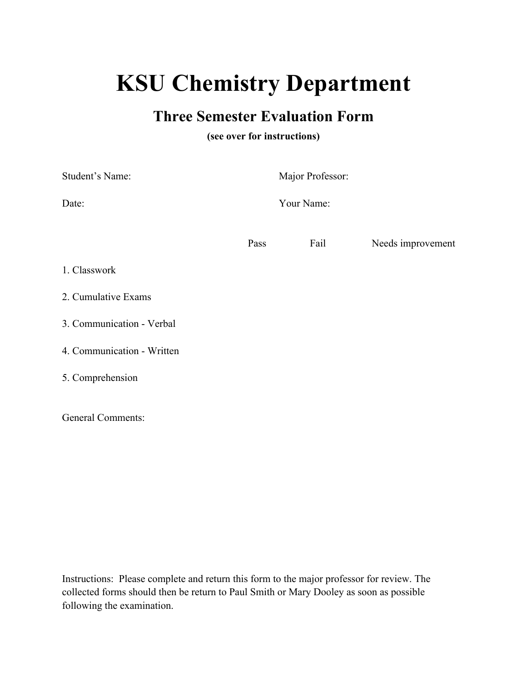# **KSU Chemistry Department**

## **Three Semester Evaluation Form**

### **(see over for instructions)**

| Student's Name:           | Major Professor: |      |                   |
|---------------------------|------------------|------|-------------------|
| Date:                     | Your Name:       |      |                   |
| Pass                      |                  | Fail | Needs improvement |
| 1. Classwork              |                  |      |                   |
| 2. Cumulative Exams       |                  |      |                   |
| 3. Communication - Verbal |                  |      |                   |

4. Communication - Written

5. Comprehension

General Comments:

Instructions: Please complete and return this form to the major professor for review. The collected forms should then be return to Paul Smith or Mary Dooley as soon as possible following the examination.